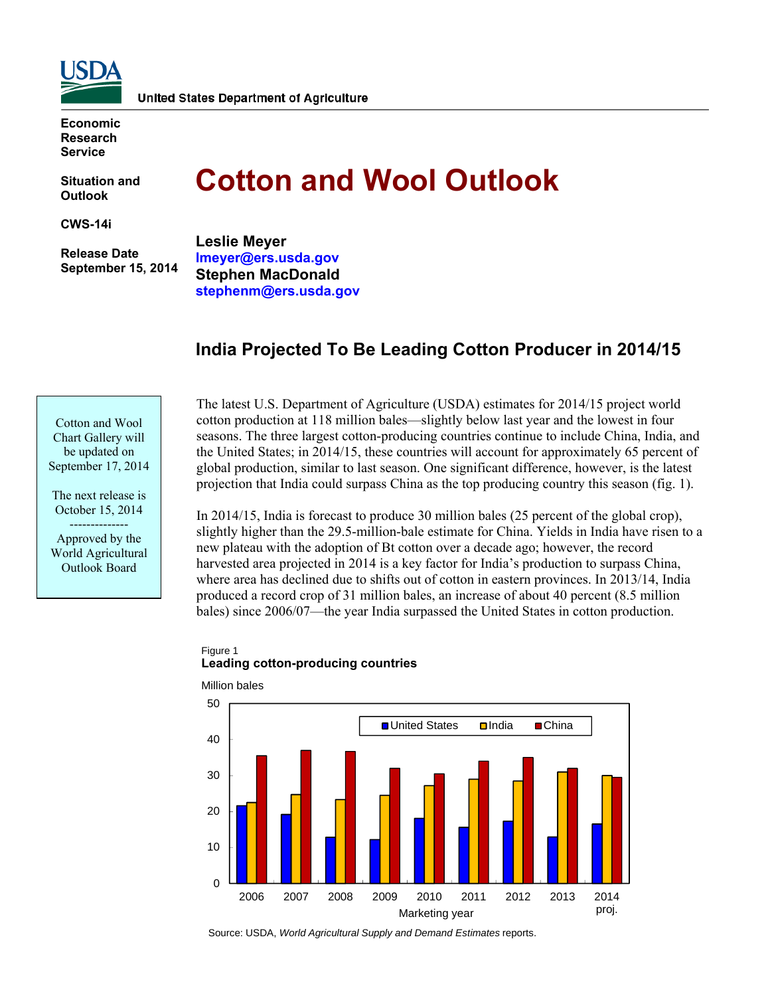

**Economic Research Service** 

**Situation and Outlook** 

**CWS-14i** 

 **Release Date September 15, 2014** 

# **Cotton and Wool Outlook**

**Leslie Meyer lmeyer@ers.usda.gov Stephen MacDonald stephenm@ers.usda.gov** 

# **India Projected To Be Leading Cotton Producer in 2014/15**

Cotton and Wool Chart Gallery will be updated on September 17, 2014

The next release is October 15, 2014 -------------- Approved by the World Agricultural Outlook Board

The latest U.S. Department of Agriculture (USDA) estimates for 2014/15 project world cotton production at 118 million bales—slightly below last year and the lowest in four seasons. The three largest cotton-producing countries continue to include China, India, and the United States; in 2014/15, these countries will account for approximately 65 percent of global production, similar to last season. One significant difference, however, is the latest projection that India could surpass China as the top producing country this season (fig. 1).

In 2014/15, India is forecast to produce 30 million bales (25 percent of the global crop), slightly higher than the 29.5-million-bale estimate for China. Yields in India have risen to a new plateau with the adoption of Bt cotton over a decade ago; however, the record harvested area projected in 2014 is a key factor for India's production to surpass China, where area has declined due to shifts out of cotton in eastern provinces. In 2013/14, India produced a record crop of 31 million bales, an increase of about 40 percent (8.5 million bales) since 2006/07—the year India surpassed the United States in cotton production.

# Figure 1 **Leading cotton-producing countries**



Million bales

Source: USDA, *World Agricultural Supply and Demand Estimates* reports.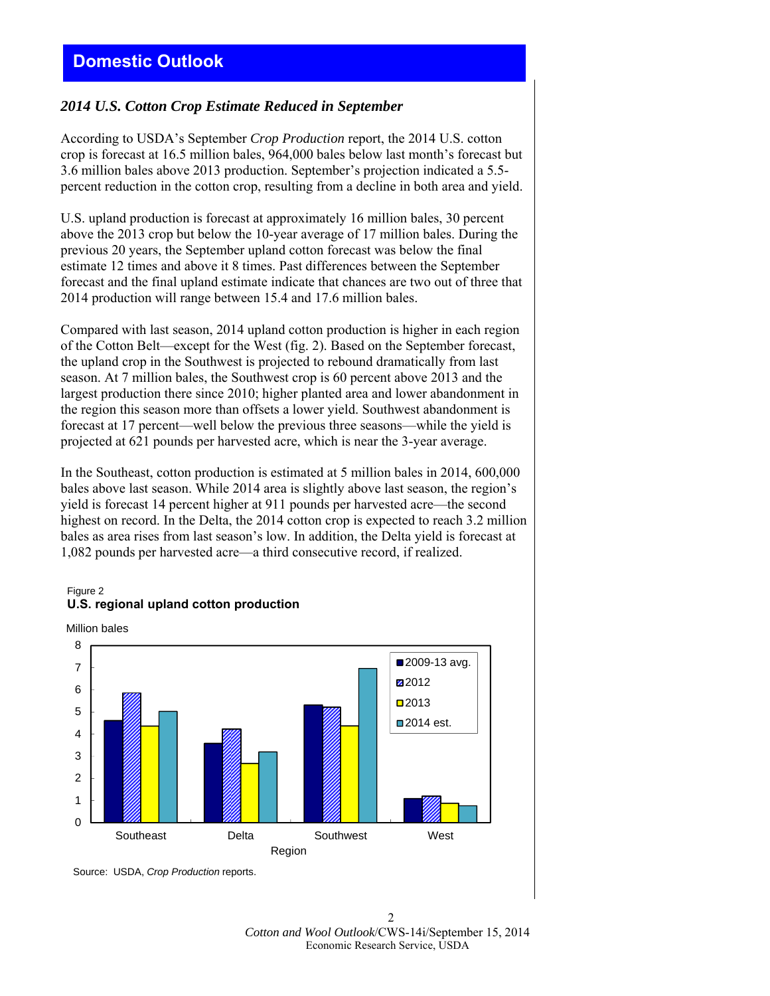# *2014 U.S. Cotton Crop Estimate Reduced in September*

According to USDA's September *Crop Production* report, the 2014 U.S. cotton crop is forecast at 16.5 million bales, 964,000 bales below last month's forecast but 3.6 million bales above 2013 production. September's projection indicated a 5.5 percent reduction in the cotton crop, resulting from a decline in both area and yield.

U.S. upland production is forecast at approximately 16 million bales, 30 percent above the 2013 crop but below the 10-year average of 17 million bales. During the previous 20 years, the September upland cotton forecast was below the final estimate 12 times and above it 8 times. Past differences between the September forecast and the final upland estimate indicate that chances are two out of three that 2014 production will range between 15.4 and 17.6 million bales.

Compared with last season, 2014 upland cotton production is higher in each region of the Cotton Belt—except for the West (fig. 2). Based on the September forecast, the upland crop in the Southwest is projected to rebound dramatically from last season. At 7 million bales, the Southwest crop is 60 percent above 2013 and the largest production there since 2010; higher planted area and lower abandonment in the region this season more than offsets a lower yield. Southwest abandonment is forecast at 17 percent—well below the previous three seasons—while the yield is projected at 621 pounds per harvested acre, which is near the 3-year average.

In the Southeast, cotton production is estimated at 5 million bales in 2014, 600,000 bales above last season. While 2014 area is slightly above last season, the region's yield is forecast 14 percent higher at 911 pounds per harvested acre—the second highest on record. In the Delta, the 2014 cotton crop is expected to reach 3.2 million bales as area rises from last season's low. In addition, the Delta yield is forecast at 1,082 pounds per harvested acre—a third consecutive record, if realized.

#### Figure 2 **U.S. regional upland cotton production**





Source: USDA, *Crop Production* reports.

 $\mathfrak{D}$ *Cotton and Wool Outlook*/CWS-14i/September 15, 2014 Economic Research Service, USDA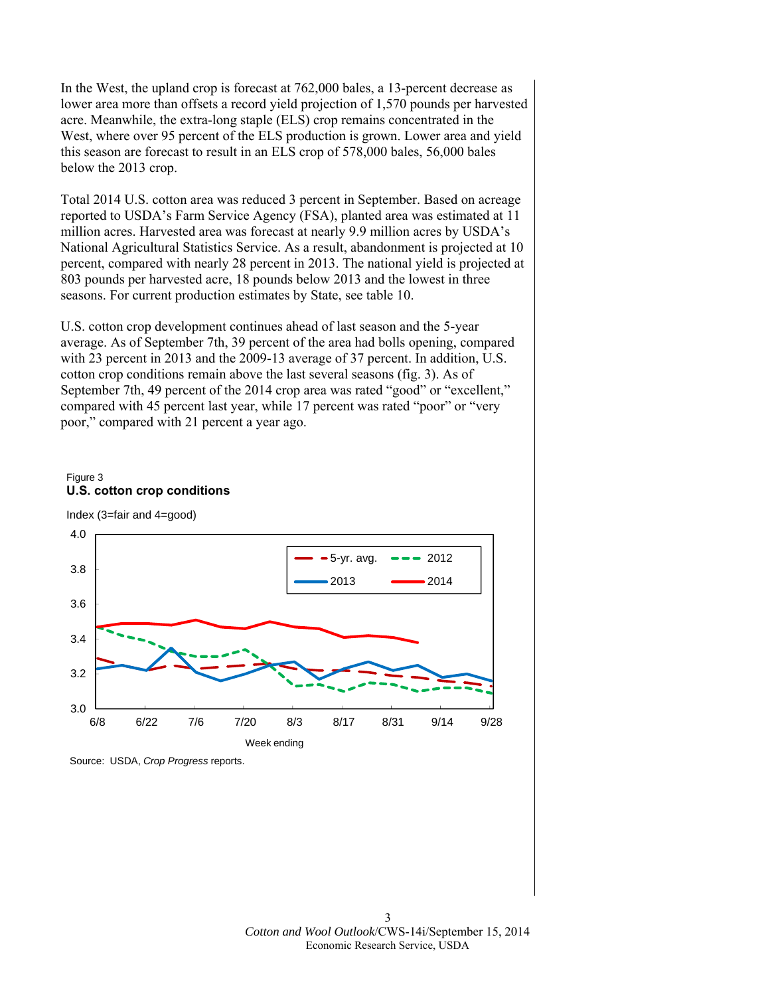In the West, the upland crop is forecast at 762,000 bales, a 13-percent decrease as lower area more than offsets a record yield projection of 1,570 pounds per harvested acre. Meanwhile, the extra-long staple (ELS) crop remains concentrated in the West, where over 95 percent of the ELS production is grown. Lower area and yield this season are forecast to result in an ELS crop of 578,000 bales, 56,000 bales below the 2013 crop.

Total 2014 U.S. cotton area was reduced 3 percent in September. Based on acreage reported to USDA's Farm Service Agency (FSA), planted area was estimated at 11 million acres. Harvested area was forecast at nearly 9.9 million acres by USDA's National Agricultural Statistics Service. As a result, abandonment is projected at 10 percent, compared with nearly 28 percent in 2013. The national yield is projected at 803 pounds per harvested acre, 18 pounds below 2013 and the lowest in three seasons. For current production estimates by State, see table 10.

U.S. cotton crop development continues ahead of last season and the 5-year average. As of September 7th, 39 percent of the area had bolls opening, compared with 23 percent in 2013 and the 2009-13 average of 37 percent. In addition, U.S. cotton crop conditions remain above the last several seasons (fig. 3). As of September 7th, 49 percent of the 2014 crop area was rated "good" or "excellent," compared with 45 percent last year, while 17 percent was rated "poor" or "very poor," compared with 21 percent a year ago.







Source: USDA, *Crop Progress* reports.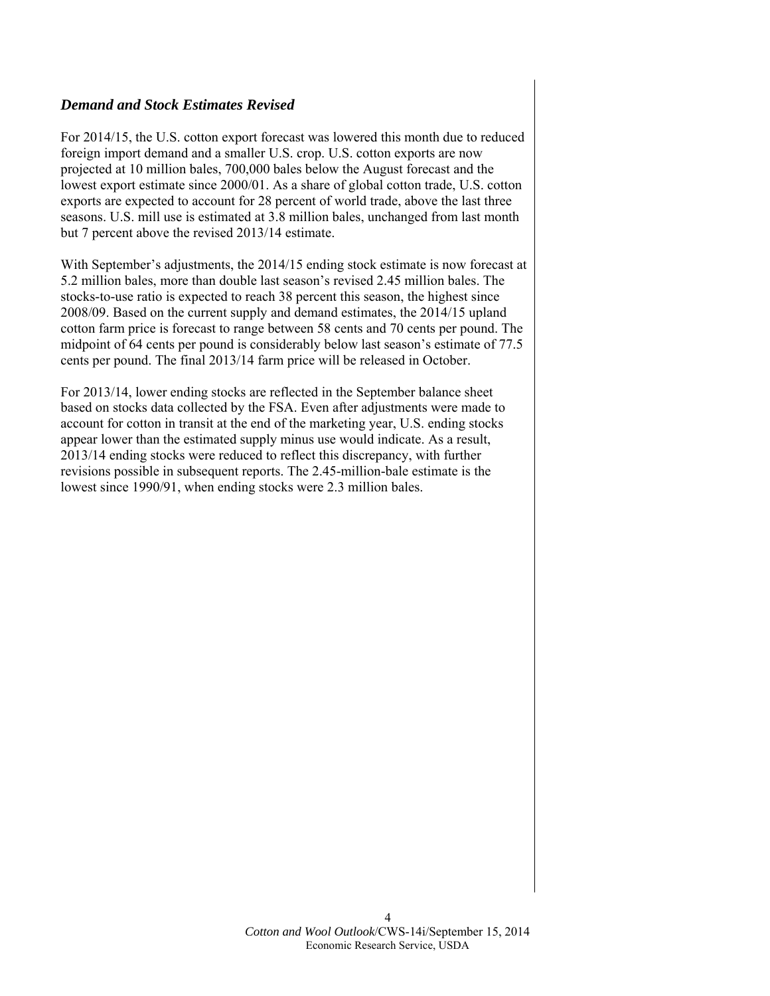# *Demand and Stock Estimates Revised*

For 2014/15, the U.S. cotton export forecast was lowered this month due to reduced foreign import demand and a smaller U.S. crop. U.S. cotton exports are now projected at 10 million bales, 700,000 bales below the August forecast and the lowest export estimate since 2000/01. As a share of global cotton trade, U.S. cotton exports are expected to account for 28 percent of world trade, above the last three seasons. U.S. mill use is estimated at 3.8 million bales, unchanged from last month but 7 percent above the revised 2013/14 estimate.

With September's adjustments, the 2014/15 ending stock estimate is now forecast at 5.2 million bales, more than double last season's revised 2.45 million bales. The stocks-to-use ratio is expected to reach 38 percent this season, the highest since 2008/09. Based on the current supply and demand estimates, the 2014/15 upland cotton farm price is forecast to range between 58 cents and 70 cents per pound. The midpoint of 64 cents per pound is considerably below last season's estimate of 77.5 cents per pound. The final 2013/14 farm price will be released in October.

For 2013/14, lower ending stocks are reflected in the September balance sheet based on stocks data collected by the FSA. Even after adjustments were made to account for cotton in transit at the end of the marketing year, U.S. ending stocks appear lower than the estimated supply minus use would indicate. As a result, 2013/14 ending stocks were reduced to reflect this discrepancy, with further revisions possible in subsequent reports. The 2.45-million-bale estimate is the lowest since 1990/91, when ending stocks were 2.3 million bales.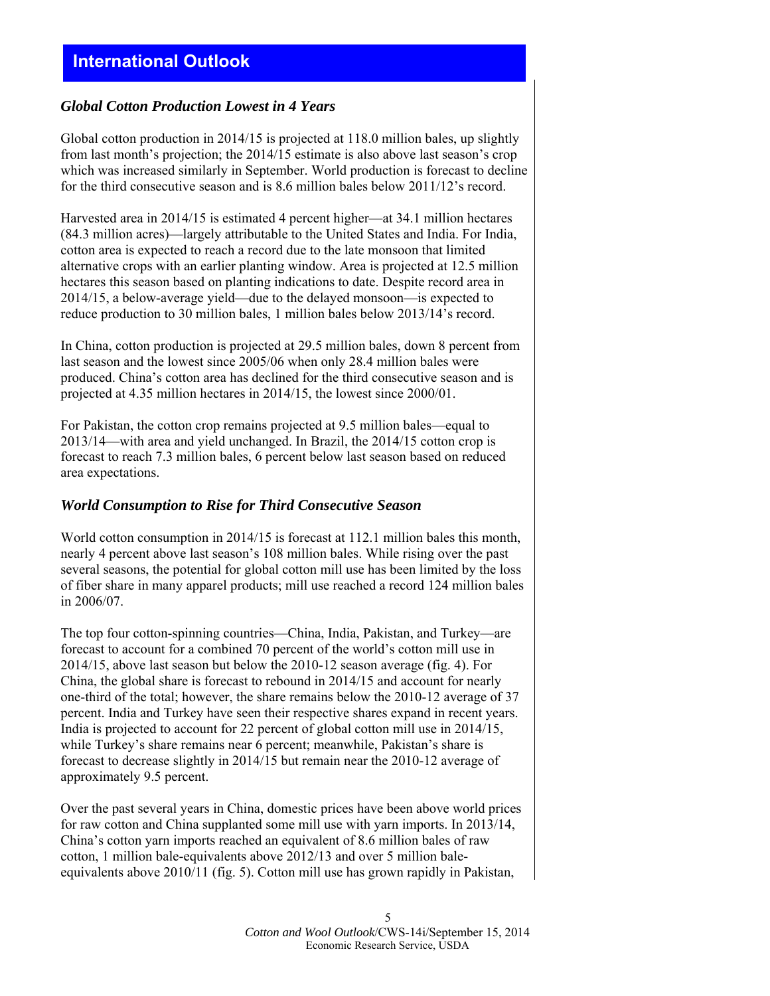# **International Outlook**

# *Global Cotton Production Lowest in 4 Years*

Global cotton production in 2014/15 is projected at 118.0 million bales, up slightly from last month's projection; the 2014/15 estimate is also above last season's crop which was increased similarly in September. World production is forecast to decline for the third consecutive season and is 8.6 million bales below 2011/12's record.

Harvested area in 2014/15 is estimated 4 percent higher—at 34.1 million hectares (84.3 million acres)—largely attributable to the United States and India. For India, cotton area is expected to reach a record due to the late monsoon that limited alternative crops with an earlier planting window. Area is projected at 12.5 million hectares this season based on planting indications to date. Despite record area in 2014/15, a below-average yield—due to the delayed monsoon—is expected to reduce production to 30 million bales, 1 million bales below 2013/14's record.

In China, cotton production is projected at 29.5 million bales, down 8 percent from last season and the lowest since 2005/06 when only 28.4 million bales were produced. China's cotton area has declined for the third consecutive season and is projected at 4.35 million hectares in 2014/15, the lowest since 2000/01.

For Pakistan, the cotton crop remains projected at 9.5 million bales—equal to 2013/14—with area and yield unchanged. In Brazil, the 2014/15 cotton crop is forecast to reach 7.3 million bales, 6 percent below last season based on reduced area expectations.

## *World Consumption to Rise for Third Consecutive Season*

World cotton consumption in 2014/15 is forecast at 112.1 million bales this month, nearly 4 percent above last season's 108 million bales. While rising over the past several seasons, the potential for global cotton mill use has been limited by the loss of fiber share in many apparel products; mill use reached a record 124 million bales in 2006/07.

The top four cotton-spinning countries—China, India, Pakistan, and Turkey—are forecast to account for a combined 70 percent of the world's cotton mill use in 2014/15, above last season but below the 2010-12 season average (fig. 4). For China, the global share is forecast to rebound in 2014/15 and account for nearly one-third of the total; however, the share remains below the 2010-12 average of 37 percent. India and Turkey have seen their respective shares expand in recent years. India is projected to account for 22 percent of global cotton mill use in 2014/15, while Turkey's share remains near 6 percent; meanwhile, Pakistan's share is forecast to decrease slightly in 2014/15 but remain near the 2010-12 average of approximately 9.5 percent.

Over the past several years in China, domestic prices have been above world prices for raw cotton and China supplanted some mill use with yarn imports. In 2013/14, China's cotton yarn imports reached an equivalent of 8.6 million bales of raw cotton, 1 million bale-equivalents above 2012/13 and over 5 million baleequivalents above 2010/11 (fig. 5). Cotton mill use has grown rapidly in Pakistan,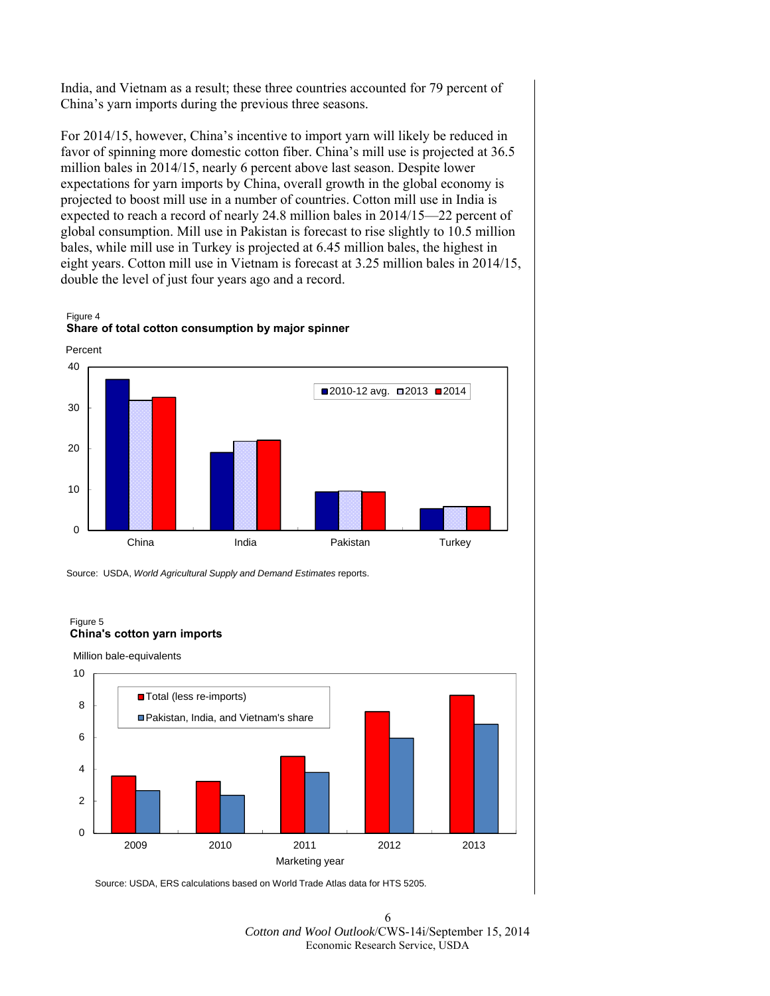India, and Vietnam as a result; these three countries accounted for 79 percent of China's yarn imports during the previous three seasons.

For 2014/15, however, China's incentive to import yarn will likely be reduced in favor of spinning more domestic cotton fiber. China's mill use is projected at 36.5 million bales in 2014/15, nearly 6 percent above last season. Despite lower expectations for yarn imports by China, overall growth in the global economy is projected to boost mill use in a number of countries. Cotton mill use in India is expected to reach a record of nearly 24.8 million bales in 2014/15—22 percent of global consumption. Mill use in Pakistan is forecast to rise slightly to 10.5 million bales, while mill use in Turkey is projected at 6.45 million bales, the highest in eight years. Cotton mill use in Vietnam is forecast at 3.25 million bales in 2014/15, double the level of just four years ago and a record.

Figure 4 **Share of total cotton consumption by major spinner**



Source: USDA, *World Agricultural Supply and Demand Estimates* reports.

#### Figure 5 **China's cotton yarn imports**

Million bale-equivalents



Source: USDA, ERS calculations based on World Trade Atlas data for HTS 5205.

6 *Cotton and Wool Outlook*/CWS-14i/September 15, 2014 Economic Research Service, USDA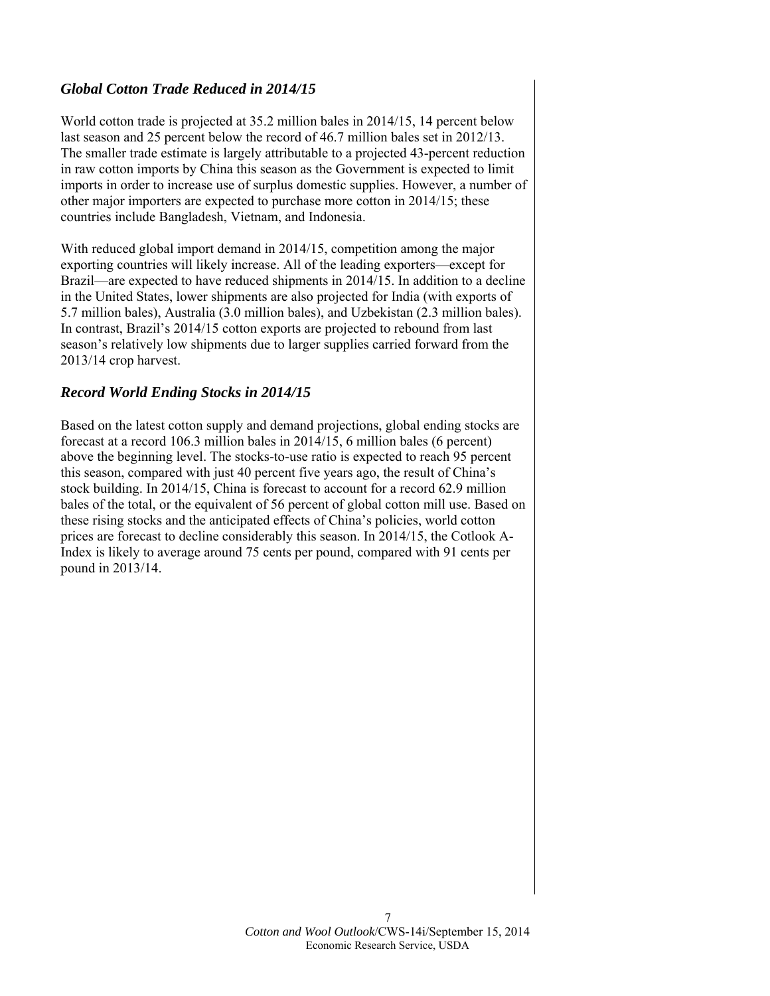# *Global Cotton Trade Reduced in 2014/15*

World cotton trade is projected at 35.2 million bales in 2014/15, 14 percent below last season and 25 percent below the record of 46.7 million bales set in 2012/13. The smaller trade estimate is largely attributable to a projected 43-percent reduction in raw cotton imports by China this season as the Government is expected to limit imports in order to increase use of surplus domestic supplies. However, a number of other major importers are expected to purchase more cotton in 2014/15; these countries include Bangladesh, Vietnam, and Indonesia.

With reduced global import demand in 2014/15, competition among the major exporting countries will likely increase. All of the leading exporters—except for Brazil—are expected to have reduced shipments in 2014/15. In addition to a decline in the United States, lower shipments are also projected for India (with exports of 5.7 million bales), Australia (3.0 million bales), and Uzbekistan (2.3 million bales). In contrast, Brazil's 2014/15 cotton exports are projected to rebound from last season's relatively low shipments due to larger supplies carried forward from the 2013/14 crop harvest.

# *Record World Ending Stocks in 2014/15*

Based on the latest cotton supply and demand projections, global ending stocks are forecast at a record 106.3 million bales in 2014/15, 6 million bales (6 percent) above the beginning level. The stocks-to-use ratio is expected to reach 95 percent this season, compared with just 40 percent five years ago, the result of China's stock building. In 2014/15, China is forecast to account for a record 62.9 million bales of the total, or the equivalent of 56 percent of global cotton mill use. Based on these rising stocks and the anticipated effects of China's policies, world cotton prices are forecast to decline considerably this season. In 2014/15, the Cotlook A-Index is likely to average around 75 cents per pound, compared with 91 cents per pound in 2013/14.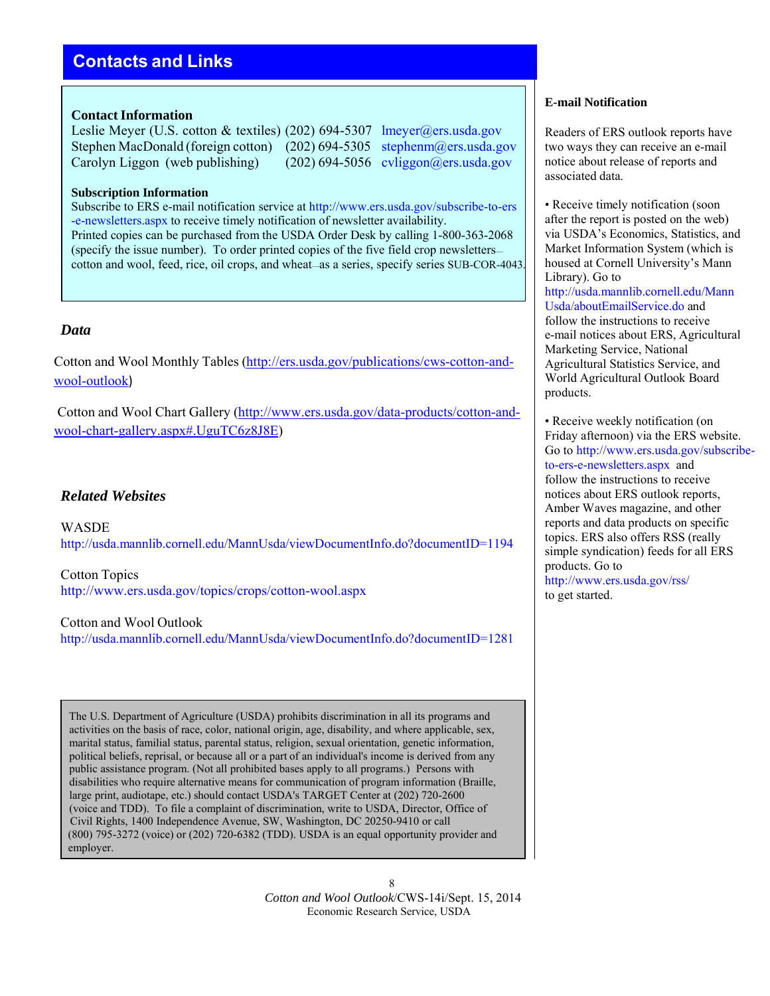# **Contacts and Links**

### **Contact Information**

Leslie Meyer (U.S. cotton & textiles) (202) 694-5307 lmeyer@ers.usda.gov Stephen MacDonald (foreign cotton) (202) 694-5305 stephenm@ers.usda.gov Carolyn Liggon (web publishing) (202) 694-5056 cyliggon@ers.usda.gov

### **Subscription Information**

Subscribe to ERS e-mail notification service at http://www.ers.usda.gov/subscribe-to-ers -e-newsletters.aspx to receive timely notification of newsletter availability. Printed copies can be purchased from the USDA Order Desk by calling 1-800-363-2068 (specify the issue number). To order printed copies of the five field crop newsletters cotton and wool, feed, rice, oil crops, and wheat—as a series, specify series SUB-COR-4043.

# *Data*

Cotton and Wool Monthly Tables (http://ers.usda.gov/publications/cws-cotton-andwool-outlook)

Cotton and Wool Chart Gallery (http://www.ers.usda.gov/data-products/cotton-andwool-chart-gallery.aspx#.UguTC6z8J8E)

# *Related Websites*

WASDE http://usda.mannlib.cornell.edu/MannUsda/viewDocumentInfo.do?documentID=1194

Cotton Topics http://www.ers.usda.gov/topics/crops/cotton-wool.aspx

Cotton and Wool Outlook http://usda.mannlib.cornell.edu/MannUsda/viewDocumentInfo.do?documentID=1281

The U.S. Department of Agriculture (USDA) prohibits discrimination in all its programs and activities on the basis of race, color, national origin, age, disability, and where applicable, sex, marital status, familial status, parental status, religion, sexual orientation, genetic information, political beliefs, reprisal, or because all or a part of an individual's income is derived from any public assistance program. (Not all prohibited bases apply to all programs.) Persons with disabilities who require alternative means for communication of program information (Braille, large print, audiotape, etc.) should contact USDA's TARGET Center at (202) 720-2600 (voice and TDD). To file a complaint of discrimination, write to USDA, Director, Office of Civil Rights, 1400 Independence Avenue, SW, Washington, DC 20250-9410 or call (800) 795-3272 (voice) or (202) 720-6382 (TDD). USDA is an equal opportunity provider and employer.

### **E-mail Notification**

Readers of ERS outlook reports have two ways they can receive an e-mail notice about release of reports and associated data.

• Receive timely notification (soon) after the report is posted on the web) via USDA's Economics, Statistics, and Market Information System (which is housed at Cornell University's Mann Library). Go to http://usda.mannlib.cornell.edu/Mann Usda/aboutEmailService.do and follow the instructions to receive e-mail notices about ERS, Agricultural Marketing Service, National Agricultural Statistics Service, and World Agricultural Outlook Board products.

• Receive weekly notification (on Friday afternoon) via the ERS website. Go to http://www.ers.usda.gov/subscribeto-ers-e-newsletters.aspx and follow the instructions to receive notices about ERS outlook reports, Amber Waves magazine, and other reports and data products on specific topics. ERS also offers RSS (really simple syndication) feeds for all ERS products. Go to http://www.ers.usda.gov/rss/ to get started.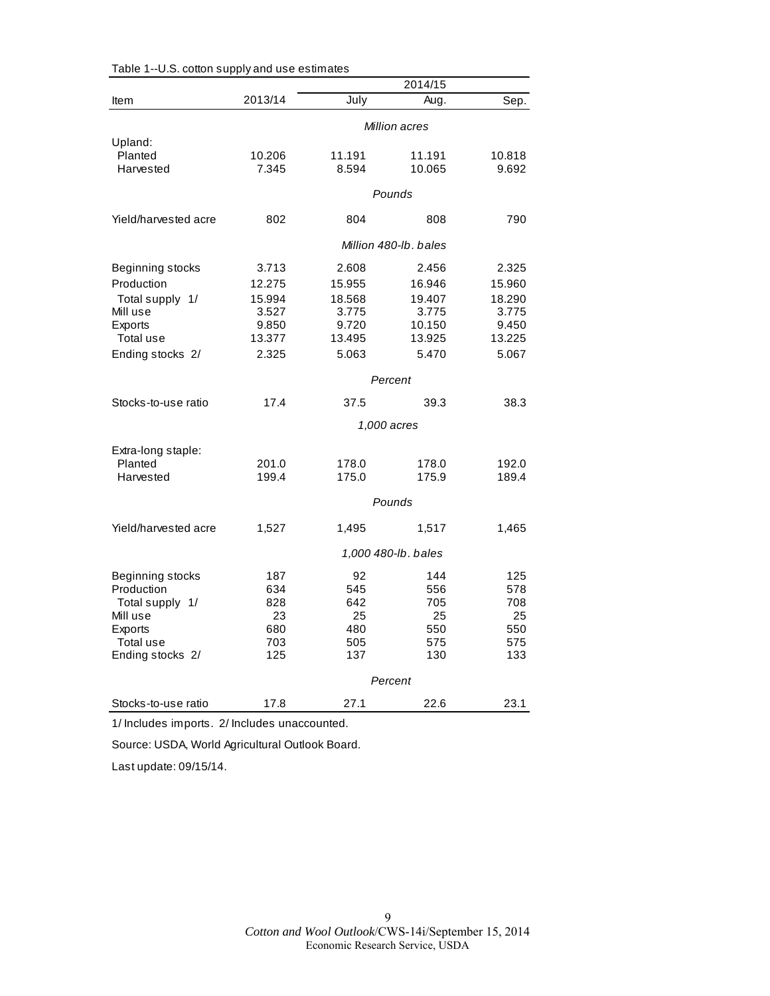|                      |                       |         | 2014/15             |        |  |
|----------------------|-----------------------|---------|---------------------|--------|--|
| <b>Item</b>          | 2013/14               | July    | Aug.                | Sep.   |  |
|                      | Million acres         |         |                     |        |  |
| Upland:              |                       |         |                     |        |  |
| Planted              | 10.206                | 11.191  | 11.191              | 10.818 |  |
| Harvested            | 7.345                 | 8.594   | 10.065              | 9.692  |  |
|                      |                       |         | Pounds              |        |  |
| Yield/harvested acre | 802                   | 804     | 808                 | 790    |  |
|                      | Million 480-lb, bales |         |                     |        |  |
| Beginning stocks     | 3.713                 | 2.608   | 2.456               | 2.325  |  |
| Production           | 12.275                | 15.955  | 16.946              | 15.960 |  |
| Total supply 1/      | 15.994                | 18.568  | 19.407              | 18.290 |  |
| Mill use             | 3.527                 | 3.775   | 3.775               | 3.775  |  |
| Exports              | 9.850                 | 9.720   | 10.150              | 9.450  |  |
| Total use            | 13.377                | 13.495  | 13.925              | 13.225 |  |
| Ending stocks 2/     | 2.325                 | 5.063   | 5.470               | 5.067  |  |
|                      |                       |         | Percent             |        |  |
| Stocks-to-use ratio  | 17.4                  | 37.5    | 39.3                | 38.3   |  |
|                      |                       |         | 1,000 acres         |        |  |
| Extra-long staple:   |                       |         |                     |        |  |
| Planted              | 201.0                 | 178.0   | 178.0               | 192.0  |  |
| Harvested            | 199.4                 | 175.0   | 175.9               | 189.4  |  |
|                      |                       |         | Pounds              |        |  |
| Yield/harvested acre | 1,527                 | 1,495   | 1,517               | 1,465  |  |
|                      |                       |         | 1,000 480-lb. bales |        |  |
| Beginning stocks     | 187                   | 92      | 144                 | 125    |  |
| Production           | 634                   | 545     | 556                 | 578    |  |
| Total supply 1/      | 828                   | 642     | 705                 | 708    |  |
| Mill use             | 23                    | 25      | 25                  | 25     |  |
| <b>Exports</b>       | 680                   | 480     | 550                 | 550    |  |
| Total use            | 703                   | 505     | 575                 | 575    |  |
| Ending stocks 2/     | 125                   | 137     | 130                 | 133    |  |
|                      |                       | Percent |                     |        |  |
| Stocks-to-use ratio  | 17.8                  | 27.1    | 22.6                | 23.1   |  |

|  |  |  | Table 1--U.S. cotton supply and use estimates |
|--|--|--|-----------------------------------------------|
|--|--|--|-----------------------------------------------|

1/ Includes imports. 2/ Includes unaccounted.

Source: USDA, World Agricultural Outlook Board.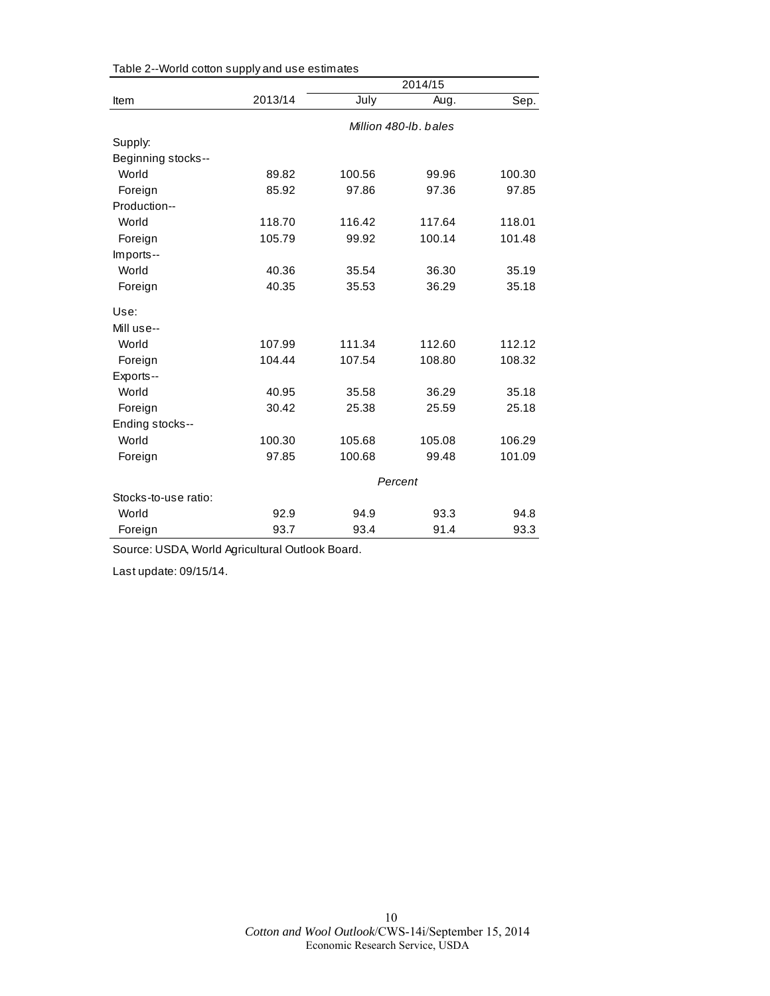|                      |         |        | 2014/15               |        |  |
|----------------------|---------|--------|-----------------------|--------|--|
| Item                 | 2013/14 | July   | Aug.                  | Sep.   |  |
|                      |         |        | Million 480-lb, bales |        |  |
| Supply:              |         |        |                       |        |  |
| Beginning stocks--   |         |        |                       |        |  |
| World                | 89.82   | 100.56 | 99.96                 | 100.30 |  |
| Foreign              | 85.92   | 97.86  | 97.36                 | 97.85  |  |
| Production--         |         |        |                       |        |  |
| World                | 118.70  | 116.42 | 117.64                | 118.01 |  |
| Foreign              | 105.79  | 99.92  | 100.14                | 101.48 |  |
| Imports--            |         |        |                       |        |  |
| World                | 40.36   | 35.54  | 36.30                 | 35.19  |  |
| Foreign              | 40.35   | 35.53  | 36.29                 | 35.18  |  |
| Use:                 |         |        |                       |        |  |
| Mill use--           |         |        |                       |        |  |
| World                | 107.99  | 111.34 | 112.60                | 112.12 |  |
| Foreign              | 104.44  | 107.54 | 108.80                | 108.32 |  |
| Exports--            |         |        |                       |        |  |
| World                | 40.95   | 35.58  | 36.29                 | 35.18  |  |
| Foreign              | 30.42   | 25.38  | 25.59                 | 25.18  |  |
| Ending stocks--      |         |        |                       |        |  |
| World                | 100.30  | 105.68 | 105.08                | 106.29 |  |
| Foreign              | 97.85   | 100.68 | 99.48                 | 101.09 |  |
|                      | Percent |        |                       |        |  |
| Stocks-to-use ratio: |         |        |                       |        |  |
| World                | 92.9    | 94.9   | 93.3                  | 94.8   |  |
| Foreign              | 93.7    | 93.4   | 91.4                  | 93.3   |  |

Table 2--World cotton supply and use estimates

Source: USDA, World Agricultural Outlook Board.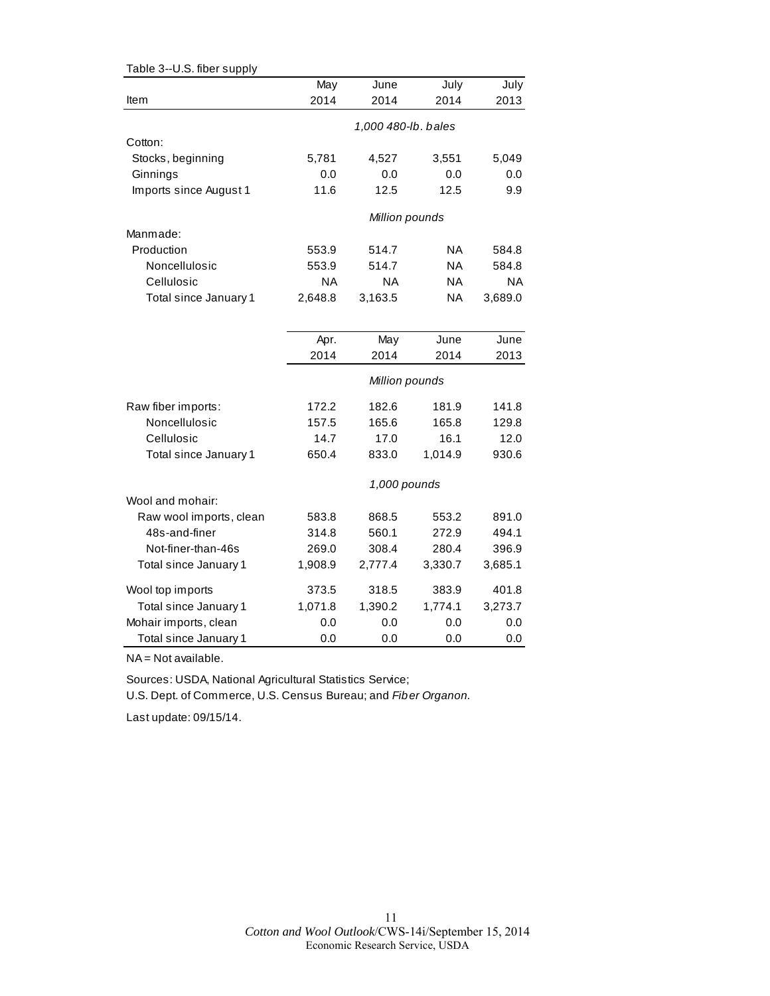| Table 3--U.S. fiber supply  |               |                     |               |               |
|-----------------------------|---------------|---------------------|---------------|---------------|
|                             | May           | June                | July          | July          |
| Item                        | 2014          | 2014                | 2014          | 2013          |
|                             |               | 1,000 480-lb. bales |               |               |
| Cotton:                     |               |                     |               |               |
| Stocks, beginning           | 5,781         | 4,527               | 3,551         | 5,049         |
| Ginnings                    | 0.0           | 0.0                 | 0.0           | 0.0           |
| Imports since August 1      | 11.6          | 12.5                | 12.5          | 9.9           |
|                             |               |                     |               |               |
|                             |               | Million pounds      |               |               |
| Manmade:                    |               |                     |               |               |
| Production                  | 553.9         | 514.7               | NA            | 584.8         |
| Noncellulosic               | 553.9         | 514.7               | <b>NA</b>     | 584.8         |
| Cellulosic                  | <b>NA</b>     | <b>NA</b>           | <b>NA</b>     | <b>NA</b>     |
| Total since January 1       | 2,648.8       | 3,163.5             | <b>NA</b>     | 3,689.0       |
|                             |               |                     |               |               |
|                             | Apr.          | May                 | June          | June          |
|                             | 2014          | 2014                | 2014          | 2013          |
|                             |               | Million pounds      |               |               |
|                             |               |                     |               |               |
| Raw fiber imports:          | 172.2         | 182.6               | 181.9         | 141.8         |
| Noncellulosic<br>Cellulosic | 157.5<br>14.7 | 165.6<br>17.0       | 165.8<br>16.1 | 129.8<br>12.0 |
|                             | 650.4         |                     |               |               |
| Total since January 1       |               | 833.0               | 1,014.9       | 930.6         |
|                             |               | 1,000 pounds        |               |               |
| Wool and mohair:            |               |                     |               |               |
| Raw wool imports, clean     | 583.8         | 868.5               | 553.2         | 891.0         |
| 48s-and-finer               | 314.8         | 560.1               | 272.9         | 494.1         |
| Not-finer-than-46s          | 269.0         | 308.4               | 280.4         | 396.9         |
| Total since January 1       | 1,908.9       | 2,777.4             | 3,330.7       | 3,685.1       |
| Wool top imports            | 373.5         | 318.5               | 383.9         | 401.8         |
| Total since January 1       | 1,071.8       | 1,390.2             | 1,774.1       | 3,273.7       |
| Mohair imports, clean       | 0.0           | 0.0                 | 0.0           | 0.0           |
| Total since January 1       | 0.0           | 0.0                 | 0.0           | 0.0           |

NA = Not available.

Sources: USDA, National Agricultural Statistics Service; U.S. Dept. of Commerce, U.S. Census Bureau; and *Fiber Organon.*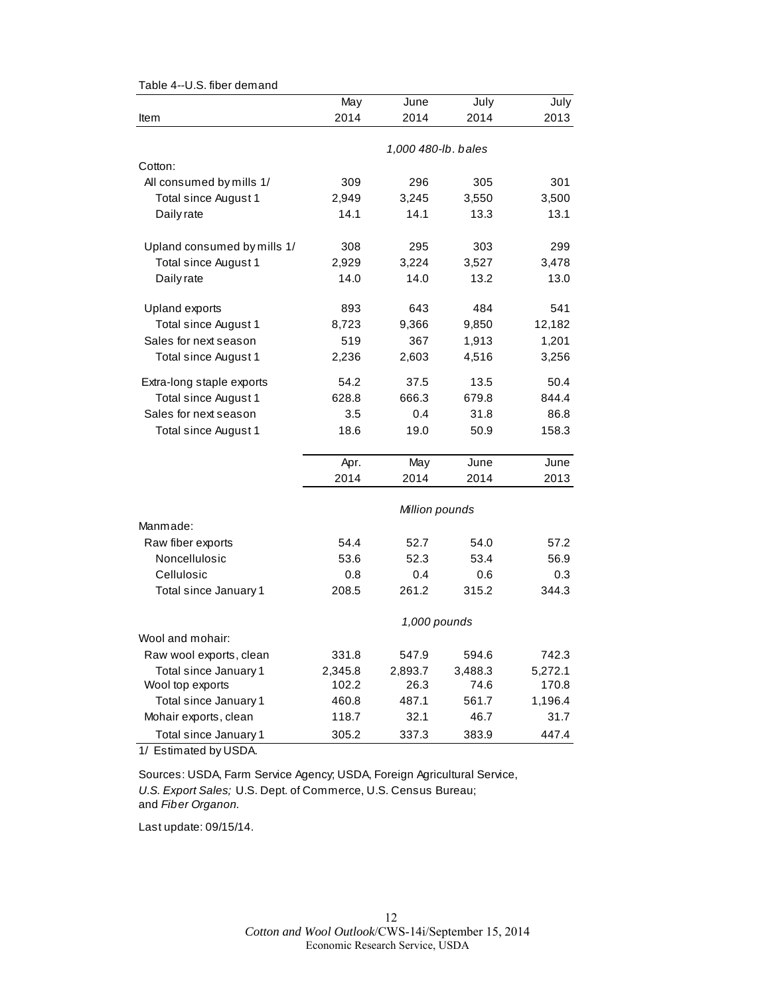|                             | May                 | June           | July    | July    |  |  |
|-----------------------------|---------------------|----------------|---------|---------|--|--|
| Item                        | 2014                | 2014           | 2014    | 2013    |  |  |
|                             |                     |                |         |         |  |  |
|                             | 1,000 480-lb. bales |                |         |         |  |  |
| Cotton:                     |                     |                |         |         |  |  |
| All consumed by mills 1/    | 309                 | 296            | 305     | 301     |  |  |
| Total since August 1        | 2,949               | 3,245          | 3,550   | 3,500   |  |  |
| Daily rate                  | 14.1                | 14.1           | 13.3    | 13.1    |  |  |
|                             |                     |                |         |         |  |  |
| Upland consumed by mills 1/ | 308                 | 295            | 303     | 299     |  |  |
| Total since August 1        | 2,929               | 3,224          | 3,527   | 3,478   |  |  |
| Daily rate                  | 14.0                | 14.0           | 13.2    | 13.0    |  |  |
|                             |                     |                |         |         |  |  |
| Upland exports              | 893                 | 643            | 484     | 541     |  |  |
| Total since August 1        | 8,723               | 9,366          | 9,850   | 12,182  |  |  |
| Sales for next season       | 519                 | 367            | 1,913   | 1,201   |  |  |
| Total since August 1        | 2,236               | 2,603          | 4,516   | 3,256   |  |  |
|                             |                     |                |         |         |  |  |
| Extra-long staple exports   | 54.2                | 37.5           | 13.5    | 50.4    |  |  |
| Total since August 1        | 628.8               | 666.3          | 679.8   | 844.4   |  |  |
| Sales for next season       | 3.5                 | 0.4            | 31.8    | 86.8    |  |  |
| Total since August 1        | 18.6                | 19.0           | 50.9    | 158.3   |  |  |
|                             | Apr.                | May            | June    | June    |  |  |
|                             | 2014                | 2014           | 2014    | 2013    |  |  |
|                             |                     |                |         |         |  |  |
|                             |                     | Million pounds |         |         |  |  |
| Manmade:                    |                     |                |         |         |  |  |
| Raw fiber exports           | 54.4                | 52.7           | 54.0    | 57.2    |  |  |
| Noncellulosic               | 53.6                | 52.3           | 53.4    | 56.9    |  |  |
| Cellulosic                  | 0.8                 | 0.4            | 0.6     | 0.3     |  |  |
| Total since January 1       | 208.5               | 261.2          | 315.2   | 344.3   |  |  |
|                             |                     | 1,000 pounds   |         |         |  |  |
| Wool and mohair:            |                     |                |         |         |  |  |
| Raw wool exports, clean     | 331.8               | 547.9          | 594.6   | 742.3   |  |  |
| Total since January 1       | 2,345.8             | 2,893.7        | 3,488.3 | 5,272.1 |  |  |
| Wool top exports            | 102.2               | 26.3           | 74.6    | 170.8   |  |  |
| Total since January 1       | 460.8               | 487.1          | 561.7   | 1,196.4 |  |  |
| Mohair exports, clean       | 118.7               | 32.1           | 46.7    | 31.7    |  |  |
| Total since January 1       | 305.2               | 337.3          | 383.9   | 447.4   |  |  |

Table 4--U.S. fiber demand

1/ Estimated by USDA.

Sources: USDA, Farm Service Agency; USDA, Foreign Agricultural Service, *U.S. Export Sales;* U.S. Dept. of Commerce, U.S. Census Bureau; and *Fiber Organon.*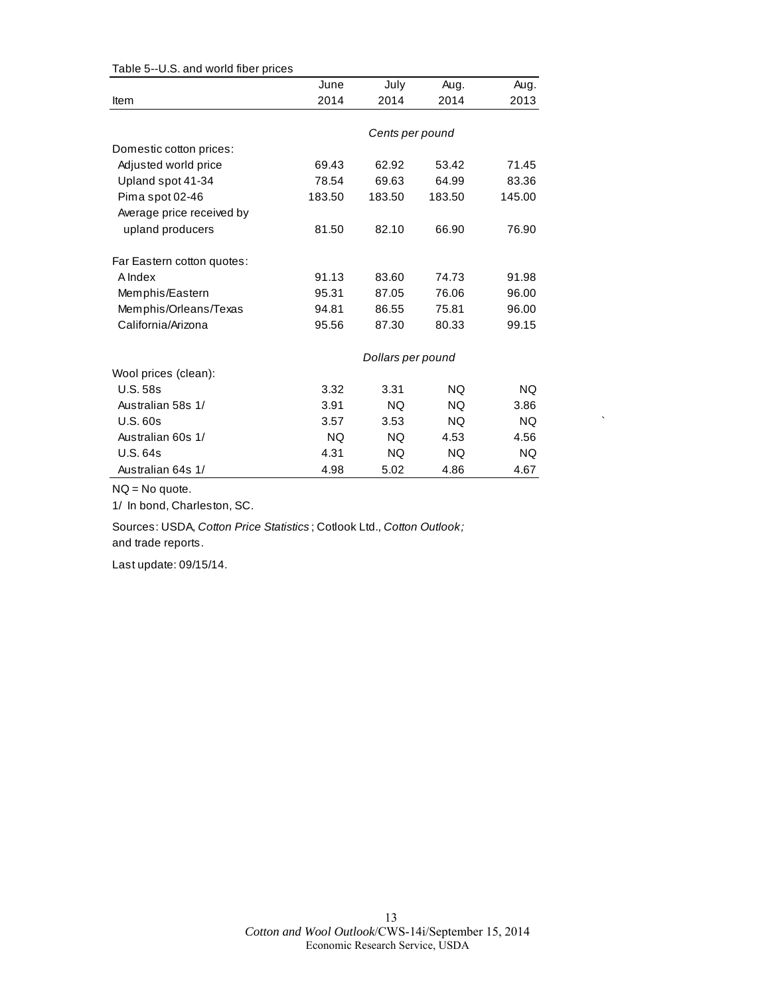| rapio o colona nona noor priocc |        |                   |           |           |
|---------------------------------|--------|-------------------|-----------|-----------|
|                                 | June   | July              | Aug.      | Aug.      |
| Item                            | 2014   | 2014              | 2014      | 2013      |
|                                 |        | Cents per pound   |           |           |
| Domestic cotton prices:         |        |                   |           |           |
| Adjusted world price            | 69.43  | 62.92             | 53.42     | 71.45     |
| Upland spot 41-34               | 78.54  | 69.63             | 64.99     | 83.36     |
| Pima spot 02-46                 | 183.50 | 183.50            | 183.50    | 145.00    |
| Average price received by       |        |                   |           |           |
| upland producers                | 81.50  | 82.10             | 66.90     | 76.90     |
| Far Eastern cotton quotes:      |        |                   |           |           |
| A Index                         | 91.13  | 83.60             | 74.73     | 91.98     |
| Memphis/Eastern                 | 95.31  | 87.05             | 76.06     | 96.00     |
| Memphis/Orleans/Texas           | 94.81  | 86.55             | 75.81     | 96.00     |
| California/Arizona              | 95.56  | 87.30             | 80.33     | 99.15     |
|                                 |        | Dollars per pound |           |           |
| Wool prices (clean):            |        |                   |           |           |
| <b>U.S. 58s</b>                 | 3.32   | 3.31              | <b>NQ</b> | <b>NQ</b> |
| Australian 58s 1/               | 3.91   | NQ.               | NQ.       | 3.86      |
| <b>U.S. 60s</b>                 | 3.57   | 3.53              | NQ.       | <b>NQ</b> |
| Australian 60s 1/               | NQ.    | NQ.               | 4.53      | 4.56      |
| <b>U.S. 64s</b>                 | 4.31   | <b>NQ</b>         | <b>NQ</b> | <b>NQ</b> |
| Australian 64s 1/               | 4.98   | 5.02              | 4.86      | 4.67      |

Table 5--U.S. and world fiber prices

NQ = No quote.

1/ In bond, Charleston, SC.

Sources: USDA, *Cotton Price Statistics* ; Cotlook Ltd., *Cotton Outlook;*  and trade reports.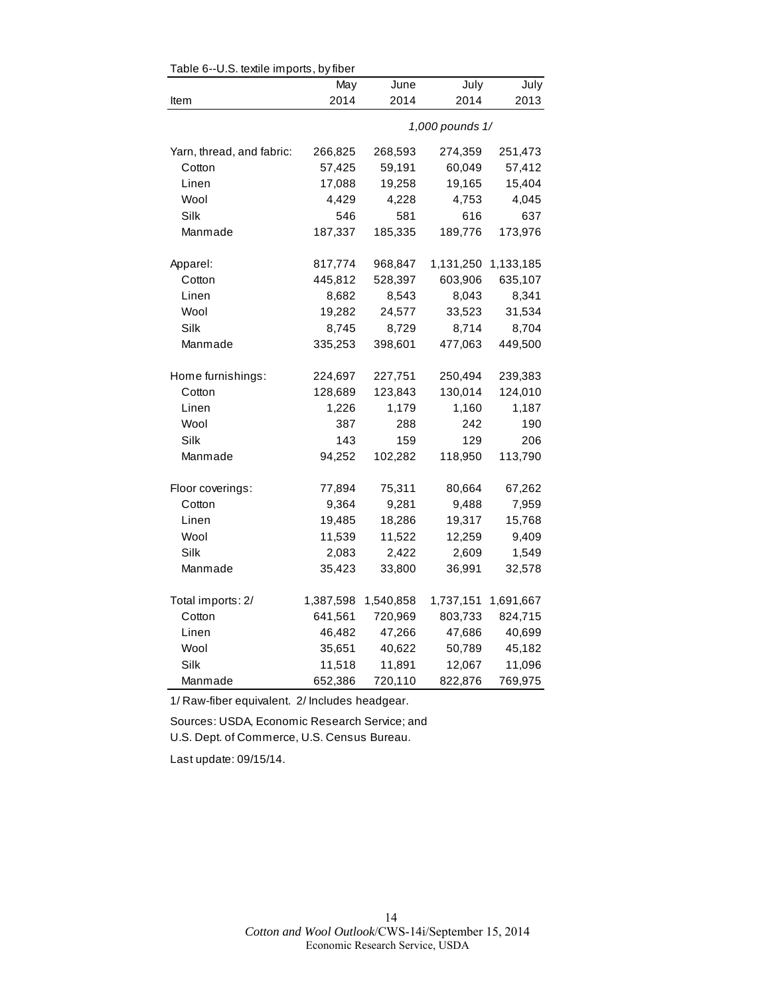| Table 6--U.S. textile imports, by fiber |           |           |                 |           |
|-----------------------------------------|-----------|-----------|-----------------|-----------|
|                                         | May       | June      | July            | July      |
| Item                                    | 2014      | 2014      | 2014            | 2013      |
|                                         |           |           | 1,000 pounds 1/ |           |
| Yarn, thread, and fabric:               | 266,825   | 268,593   | 274,359         | 251,473   |
| Cotton                                  | 57,425    | 59,191    | 60,049          | 57,412    |
| Linen                                   | 17,088    | 19,258    | 19,165          | 15,404    |
| Wool                                    | 4,429     | 4,228     | 4,753           | 4,045     |
| Silk                                    | 546       | 581       | 616             | 637       |
| Manmade                                 | 187,337   | 185,335   | 189,776         | 173,976   |
| Apparel:                                | 817,774   | 968,847   | 1,131,250       | 1,133,185 |
| Cotton                                  | 445,812   | 528,397   | 603,906         | 635,107   |
| Linen                                   | 8,682     | 8,543     | 8,043           | 8,341     |
| Wool                                    | 19,282    | 24,577    | 33,523          | 31,534    |
| Silk                                    | 8,745     | 8,729     | 8,714           | 8,704     |
| Manmade                                 | 335,253   | 398,601   | 477,063         | 449,500   |
| Home furnishings:                       | 224,697   | 227,751   | 250,494         | 239,383   |
| Cotton                                  | 128,689   | 123,843   | 130,014         | 124,010   |
| Linen                                   | 1,226     | 1,179     | 1,160           | 1,187     |
| Wool                                    | 387       | 288       | 242             | 190       |
| Silk                                    | 143       | 159       | 129             | 206       |
| Manmade                                 | 94,252    | 102,282   | 118,950         | 113,790   |
| Floor coverings:                        | 77,894    | 75,311    | 80,664          | 67,262    |
| Cotton                                  | 9,364     | 9,281     | 9,488           | 7,959     |
| Linen                                   | 19,485    | 18,286    | 19,317          | 15,768    |
| Wool                                    | 11,539    | 11,522    | 12,259          | 9,409     |
| Silk                                    | 2,083     | 2,422     | 2,609           | 1,549     |
| Manmade                                 | 35,423    | 33,800    | 36,991          | 32,578    |
| Total imports: 2/                       | 1,387,598 | 1,540,858 | 1,737,151       | 1,691,667 |
| Cotton                                  | 641,561   | 720,969   | 803,733         | 824,715   |
| Linen                                   | 46,482    | 47,266    | 47,686          | 40,699    |
| Wool                                    | 35,651    | 40,622    | 50,789          | 45,182    |
| Silk                                    | 11,518    | 11,891    | 12,067          | 11,096    |
| Manmade                                 | 652,386   | 720,110   | 822,876         | 769,975   |

1/ Raw-fiber equivalent. 2/ Includes headgear.

Sources: USDA, Economic Research Service; and U.S. Dept. of Commerce, U.S. Census Bureau.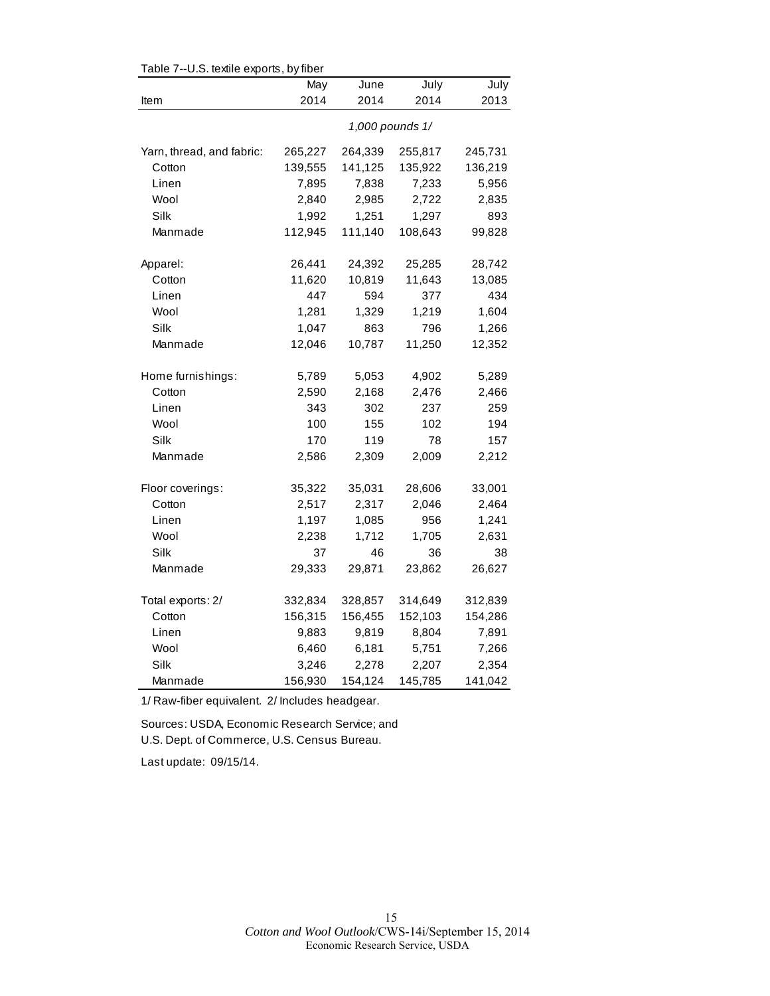| rable $r$ --0.3. lexifie exports, by liber | May             | June    | July    | July    |  |  |  |
|--------------------------------------------|-----------------|---------|---------|---------|--|--|--|
| Item                                       | 2014            | 2014    | 2014    | 2013    |  |  |  |
|                                            | 1,000 pounds 1/ |         |         |         |  |  |  |
| Yarn, thread, and fabric:                  | 265,227         | 264,339 | 255,817 | 245,731 |  |  |  |
| Cotton                                     | 139,555         | 141,125 | 135,922 | 136,219 |  |  |  |
| Linen                                      | 7,895           | 7,838   | 7,233   | 5,956   |  |  |  |
| Wool                                       | 2,840           | 2,985   | 2,722   | 2,835   |  |  |  |
| Silk                                       | 1,992           | 1,251   | 1,297   | 893     |  |  |  |
| Manmade                                    | 112,945         | 111,140 | 108,643 | 99,828  |  |  |  |
| Apparel:                                   | 26,441          | 24,392  | 25,285  | 28,742  |  |  |  |
| Cotton                                     | 11,620          | 10,819  | 11,643  | 13,085  |  |  |  |
| Linen                                      | 447             | 594     | 377     | 434     |  |  |  |
| Wool                                       | 1,281           | 1,329   | 1,219   | 1,604   |  |  |  |
| Silk                                       | 1,047           | 863     | 796     | 1,266   |  |  |  |
| Manmade                                    | 12,046          | 10,787  | 11,250  | 12,352  |  |  |  |
| Home furnishings:                          | 5,789           | 5,053   | 4,902   | 5,289   |  |  |  |
| Cotton                                     | 2,590           | 2,168   | 2,476   | 2,466   |  |  |  |
| Linen                                      | 343             | 302     | 237     | 259     |  |  |  |
| Wool                                       | 100             | 155     | 102     | 194     |  |  |  |
| Silk                                       | 170             | 119     | 78      | 157     |  |  |  |
| Manmade                                    | 2,586           | 2,309   | 2,009   | 2,212   |  |  |  |
| Floor coverings:                           | 35,322          | 35,031  | 28,606  | 33,001  |  |  |  |
| Cotton                                     | 2,517           | 2,317   | 2,046   | 2,464   |  |  |  |
| Linen                                      | 1,197           | 1,085   | 956     | 1,241   |  |  |  |
| Wool                                       | 2,238           | 1,712   | 1,705   | 2,631   |  |  |  |
| Silk                                       | 37              | 46      | 36      | 38      |  |  |  |
| Manmade                                    | 29,333          | 29,871  | 23,862  | 26,627  |  |  |  |
| Total exports: 2/                          | 332,834         | 328,857 | 314,649 | 312,839 |  |  |  |
| Cotton                                     | 156,315         | 156,455 | 152,103 | 154,286 |  |  |  |
| Linen                                      | 9,883           | 9,819   | 8,804   | 7,891   |  |  |  |
| Wool                                       | 6,460           | 6,181   | 5,751   | 7,266   |  |  |  |
| Silk                                       | 3,246           | 2,278   | 2,207   | 2,354   |  |  |  |
| Manmade                                    | 156,930         | 154,124 | 145,785 | 141,042 |  |  |  |

Table 7--U.S. textile exports, by fiber

1/ Raw-fiber equivalent. 2/ Includes headgear.

Sources: USDA, Economic Research Service; and U.S. Dept. of Commerce, U.S. Census Bureau.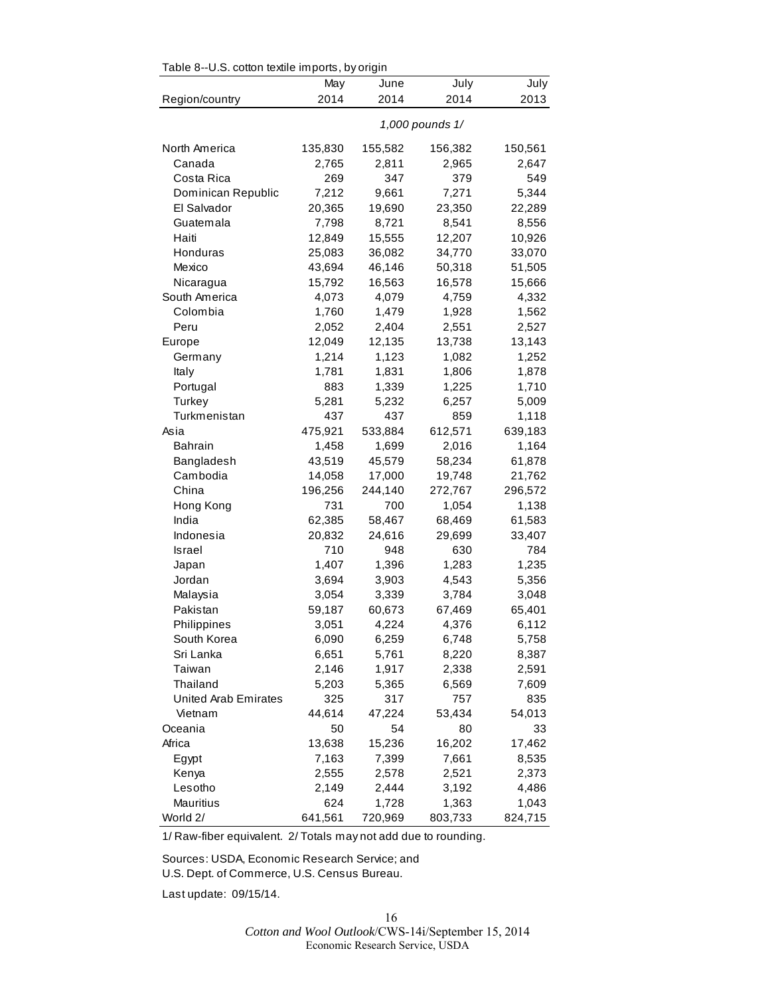| Table 8--0.5. cotton textile imports, by origin |         |         |                 |         |
|-------------------------------------------------|---------|---------|-----------------|---------|
|                                                 | May     | June    | July            | July    |
| Region/country                                  | 2014    | 2014    | 2014            | 2013    |
|                                                 |         |         | 1,000 pounds 1/ |         |
| North America                                   | 135,830 | 155,582 | 156,382         | 150,561 |
| Canada                                          | 2,765   | 2,811   | 2,965           | 2,647   |
| Costa Rica                                      | 269     | 347     | 379             | 549     |
| Dominican Republic                              | 7,212   | 9,661   | 7,271           | 5,344   |
| El Salvador                                     | 20,365  | 19,690  | 23,350          | 22,289  |
| Guatemala                                       | 7,798   | 8,721   | 8,541           | 8,556   |
| Haiti                                           | 12,849  | 15,555  | 12,207          | 10,926  |
| Honduras                                        | 25,083  | 36,082  | 34,770          | 33,070  |
| Mexico                                          | 43,694  | 46,146  | 50,318          | 51,505  |
| Nicaragua                                       | 15,792  | 16,563  | 16,578          | 15,666  |
| South America                                   | 4,073   | 4,079   | 4,759           | 4,332   |
| Colombia                                        | 1,760   | 1,479   | 1,928           | 1,562   |
| Peru                                            | 2,052   | 2,404   | 2,551           | 2,527   |
| Europe                                          | 12,049  | 12,135  | 13,738          | 13,143  |
| Germany                                         | 1,214   | 1,123   | 1,082           | 1,252   |
| Italy                                           | 1,781   | 1,831   | 1,806           | 1,878   |
| Portugal                                        | 883     | 1,339   | 1,225           | 1,710   |
| Turkey                                          | 5,281   | 5,232   | 6,257           | 5,009   |
| Turkmenistan                                    | 437     | 437     | 859             | 1,118   |
| Asia                                            | 475,921 | 533,884 | 612,571         | 639,183 |
| <b>Bahrain</b>                                  | 1,458   | 1,699   | 2,016           | 1,164   |
| Bangladesh                                      | 43,519  | 45,579  | 58,234          | 61,878  |
| Cambodia                                        | 14,058  | 17,000  | 19,748          | 21,762  |
| China                                           | 196,256 | 244,140 | 272,767         | 296,572 |
| Hong Kong                                       | 731     | 700     | 1,054           | 1,138   |
| India                                           | 62,385  | 58,467  | 68,469          | 61,583  |
| Indonesia                                       | 20,832  | 24,616  |                 |         |
|                                                 | 710     | 948     | 29,699          | 33,407  |
| <b>Israel</b>                                   |         |         | 630             | 784     |
| Japan                                           | 1,407   | 1,396   | 1,283           | 1,235   |
| Jordan                                          | 3,694   | 3,903   | 4,543           | 5,356   |
| Malaysia                                        | 3,054   | 3,339   | 3,784           | 3,048   |
| Pakistan                                        | 59,187  | 60,673  | 67,469          | 65,401  |
| Philippines                                     | 3,051   | 4,224   | 4,376           | 6,112   |
| South Korea                                     | 6,090   | 6,259   | 6,748           | 5,758   |
| Sri Lanka                                       | 6,651   | 5,761   | 8,220           | 8,387   |
| Taiwan                                          | 2,146   | 1,917   | 2,338           | 2,591   |
| Thailand                                        | 5,203   | 5,365   | 6,569           | 7,609   |
| <b>United Arab Emirates</b>                     | 325     | 317     | 757             | 835     |
| Vietnam                                         | 44,614  | 47,224  | 53,434          | 54,013  |
| Oceania                                         | 50      | 54      | 80              | 33      |
| Africa                                          | 13,638  | 15,236  | 16,202          | 17,462  |
| Egypt                                           | 7,163   | 7,399   | 7,661           | 8,535   |
| Kenya                                           | 2,555   | 2,578   | 2,521           | 2,373   |
| Lesotho                                         | 2,149   | 2,444   | 3,192           | 4,486   |
| Mauritius                                       | 624     | 1,728   | 1,363           | 1,043   |
| World 2/                                        | 641,561 | 720,969 | 803,733         | 824,715 |

 $Table 8-11.$  cotton textile imports, by origin

1/ Raw-fiber equivalent. 2/ Totals may not add due to rounding.

Sources: USDA, Economic Research Service; and U.S. Dept. of Commerce, U.S. Census Bureau.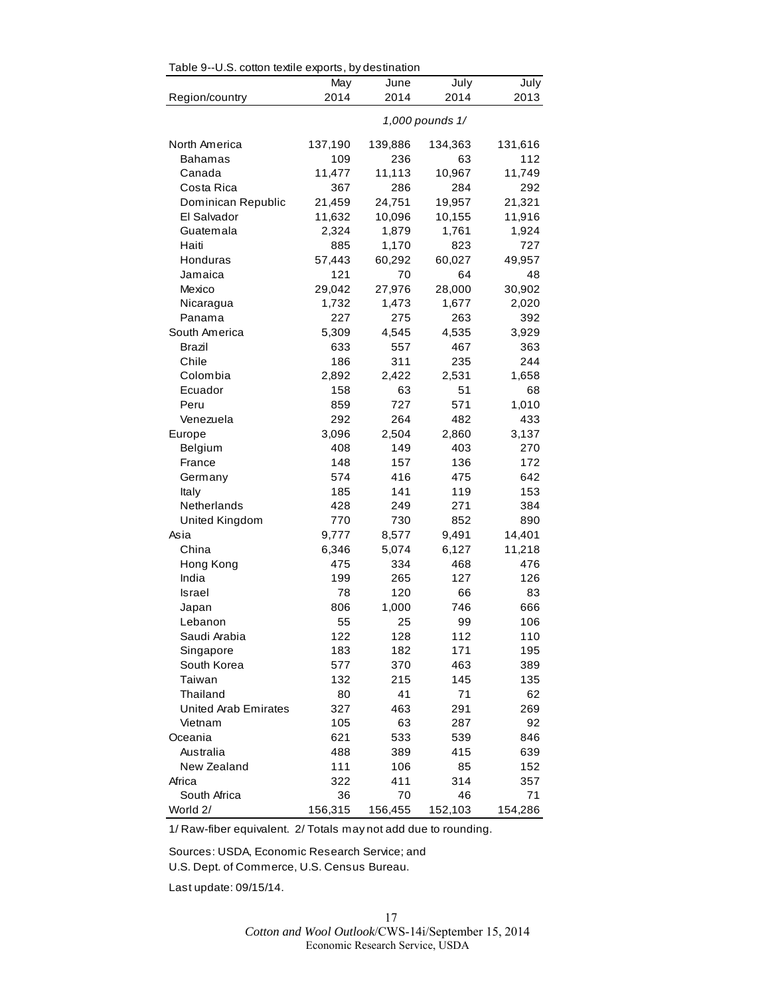| Table 9--0.S. cotton textile exports, by destination |         |         |                 |         |
|------------------------------------------------------|---------|---------|-----------------|---------|
|                                                      | May     | June    | July            | July    |
| Region/country                                       | 2014    | 2014    | 2014            | 2013    |
|                                                      |         |         | 1,000 pounds 1/ |         |
| North America                                        | 137,190 | 139,886 | 134,363         | 131,616 |
| Bahamas                                              | 109     | 236     | 63              | 112     |
| Canada                                               | 11,477  | 11,113  | 10,967          | 11,749  |
| Costa Rica                                           | 367     | 286     | 284             | 292     |
| Dominican Republic                                   | 21,459  | 24,751  | 19,957          | 21,321  |
| El Salvador                                          | 11,632  | 10,096  | 10,155          | 11,916  |
| Guatemala                                            | 2,324   | 1,879   | 1,761           | 1,924   |
| Haiti                                                | 885     | 1,170   | 823             | 727     |
| Honduras                                             | 57,443  | 60,292  | 60,027          | 49,957  |
| Jamaica                                              | 121     | 70      | 64              | 48      |
| Mexico                                               | 29,042  | 27,976  | 28,000          | 30,902  |
| Nicaragua                                            | 1,732   | 1,473   | 1,677           | 2,020   |
| Panama                                               | 227     | 275     | 263             | 392     |
| South America                                        | 5,309   | 4,545   | 4,535           | 3,929   |
| Brazil                                               | 633     | 557     | 467             | 363     |
| Chile                                                | 186     | 311     | 235             | 244     |
| Colombia                                             | 2,892   | 2,422   | 2,531           | 1,658   |
| Ecuador                                              | 158     | 63      | 51              | 68      |
| Peru                                                 | 859     | 727     | 571             | 1,010   |
| Venezuela                                            | 292     | 264     | 482             | 433     |
| Europe                                               | 3,096   | 2,504   | 2,860           | 3,137   |
| Belgium                                              | 408     | 149     | 403             | 270     |
| France                                               | 148     | 157     | 136             | 172     |
| Germany                                              | 574     | 416     | 475             | 642     |
| Italy                                                | 185     | 141     | 119             | 153     |
| Netherlands                                          | 428     | 249     | 271             | 384     |
| United Kingdom                                       | 770     | 730     | 852             | 890     |
| Asia                                                 | 9,777   | 8,577   | 9,491           | 14,401  |
| China                                                | 6,346   | 5,074   | 6,127           | 11,218  |
| Hong Kong                                            | 475     | 334     | 468             | 476     |
| India                                                | 199     | 265     | 127             | 126     |
| Israel                                               | 78      | 120     | 66              | 83      |
| Japan                                                | 806     | 1,000   | 746             | 666     |
| Lebanon                                              | 55      | 25      | 99              | 106     |
| Saudi Arabia                                         | 122     | 128     | 112             | 110     |
| Singapore                                            | 183     | 182     | 171             | 195     |
| South Korea                                          | 577     | 370     | 463             | 389     |
| Taiwan                                               | 132     | 215     | 145             | 135     |
| Thailand                                             | 80      | 41      | 71              | 62      |
| <b>United Arab Emirates</b>                          | 327     | 463     | 291             | 269     |
| Vietnam                                              | 105     | 63      | 287             | 92      |
| Oceania                                              | 621     | 533     | 539             | 846     |
| Australia                                            | 488     | 389     | 415             | 639     |
| New Zealand                                          | 111     | 106     | 85              | 152     |
| Africa                                               | 322     | 411     | 314             | 357     |
| South Africa                                         | 36      | 70      | 46              | 71      |
| World 2/                                             | 156,315 | 156,455 | 152,103         | 154,286 |

 $\mathsf{R}$   $\mathsf{R}$   $\mathsf{R}$   $\mathsf{R}$  cotton textile exports, by destination

1/ Raw-fiber equivalent. 2/ Totals may not add due to rounding.

Sources: USDA, Economic Research Service; and U.S. Dept. of Commerce, U.S. Census Bureau.